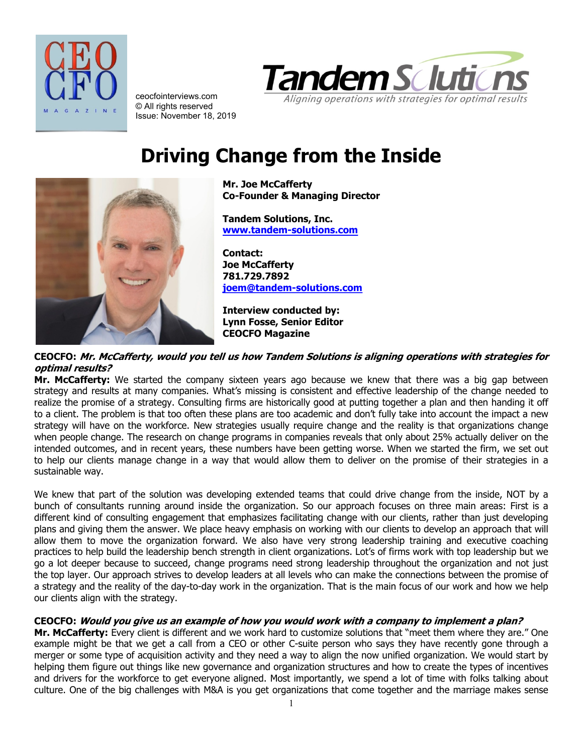



ceocfointerviews.com © All rights reserved Issue: November 18, 2019

# **Driving Change from the Inside**

**Mr. Joe McCafferty Co-Founder & Managing Director**

**Tandem Solutions, Inc. [www.tandem-solutions.com](http://www.tandem-solutions.com/)**

**Contact: Joe McCafferty 781.729.7892 [joem@tandem-solutions.com](mailto:joem@tandem-solutions.com)**

**Interview conducted by: Lynn Fosse, Senior Editor CEOCFO Magazine**

#### **CEOCFO: Mr. McCafferty, would you tell us how Tandem Solutions is aligning operations with strategies for optimal results?**

**Mr. McCafferty:** We started the company sixteen years ago because we knew that there was a big gap between strategy and results at many companies. What's missing is consistent and effective leadership of the change needed to realize the promise of a strategy. Consulting firms are historically good at putting together a plan and then handing it off to a client. The problem is that too often these plans are too academic and don't fully take into account the impact a new strategy will have on the workforce. New strategies usually require change and the reality is that organizations change when people change. The research on change programs in companies reveals that only about 25% actually deliver on the intended outcomes, and in recent years, these numbers have been getting worse. When we started the firm, we set out to help our clients manage change in a way that would allow them to deliver on the promise of their strategies in a sustainable way.

We knew that part of the solution was developing extended teams that could drive change from the inside, NOT by a bunch of consultants running around inside the organization. So our approach focuses on three main areas: First is a different kind of consulting engagement that emphasizes facilitating change with our clients, rather than just developing plans and giving them the answer. We place heavy emphasis on working with our clients to develop an approach that will allow them to move the organization forward. We also have very strong leadership training and executive coaching practices to help build the leadership bench strength in client organizations. Lot's of firms work with top leadership but we go a lot deeper because to succeed, change programs need strong leadership throughout the organization and not just the top layer. Our approach strives to develop leaders at all levels who can make the connections between the promise of a strategy and the reality of the day-to-day work in the organization. That is the main focus of our work and how we help our clients align with the strategy.

# **CEOCFO: Would you give us an example of how you would work with a company to implement a plan?**

**Mr. McCafferty:** Every client is different and we work hard to customize solutions that "meet them where they are." One example might be that we get a call from a CEO or other C-suite person who says they have recently gone through a merger or some type of acquisition activity and they need a way to align the now unified organization. We would start by helping them figure out things like new governance and organization structures and how to create the types of incentives and drivers for the workforce to get everyone aligned. Most importantly, we spend a lot of time with folks talking about culture. One of the big challenges with M&A is you get organizations that come together and the marriage makes sense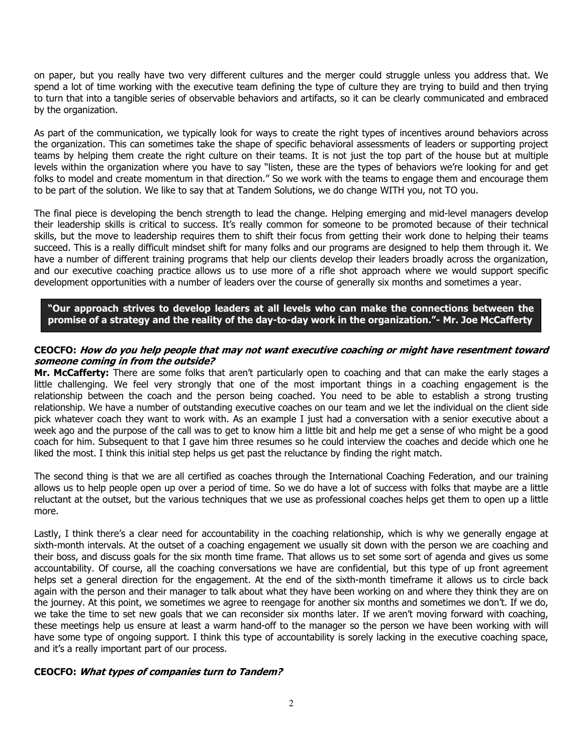on paper, but you really have two very different cultures and the merger could struggle unless you address that. We spend a lot of time working with the executive team defining the type of culture they are trying to build and then trying to turn that into a tangible series of observable behaviors and artifacts, so it can be clearly communicated and embraced by the organization.

As part of the communication, we typically look for ways to create the right types of incentives around behaviors across the organization. This can sometimes take the shape of specific behavioral assessments of leaders or supporting project teams by helping them create the right culture on their teams. It is not just the top part of the house but at multiple levels within the organization where you have to say "listen, these are the types of behaviors we're looking for and get folks to model and create momentum in that direction." So we work with the teams to engage them and encourage them to be part of the solution. We like to say that at Tandem Solutions, we do change WITH you, not TO you.

The final piece is developing the bench strength to lead the change. Helping emerging and mid-level managers develop their leadership skills is critical to success. It's really common for someone to be promoted because of their technical skills, but the move to leadership requires them to shift their focus from getting their work done to helping their teams succeed. This is a really difficult mindset shift for many folks and our programs are designed to help them through it. We have a number of different training programs that help our clients develop their leaders broadly across the organization, and our executive coaching practice allows us to use more of a rifle shot approach where we would support specific development opportunities with a number of leaders over the course of generally six months and sometimes a year.

**"Our approach strives to develop leaders at all levels who can make the connections between the promise of a strategy and the reality of the day-to-day work in the organization."- Mr. Joe McCafferty**

#### **CEOCFO: How do you help people that may not want executive coaching or might have resentment toward someone coming in from the outside?**

**Mr. McCafferty:** There are some folks that aren't particularly open to coaching and that can make the early stages a little challenging. We feel very strongly that one of the most important things in a coaching engagement is the relationship between the coach and the person being coached. You need to be able to establish a strong trusting relationship. We have a number of outstanding executive coaches on our team and we let the individual on the client side pick whatever coach they want to work with. As an example I just had a conversation with a senior executive about a week ago and the purpose of the call was to get to know him a little bit and help me get a sense of who might be a good coach for him. Subsequent to that I gave him three resumes so he could interview the coaches and decide which one he liked the most. I think this initial step helps us get past the reluctance by finding the right match.

The second thing is that we are all certified as coaches through the International Coaching Federation, and our training allows us to help people open up over a period of time. So we do have a lot of success with folks that maybe are a little reluctant at the outset, but the various techniques that we use as professional coaches helps get them to open up a little more.

Lastly, I think there's a clear need for accountability in the coaching relationship, which is why we generally engage at sixth-month intervals. At the outset of a coaching engagement we usually sit down with the person we are coaching and their boss, and discuss goals for the six month time frame. That allows us to set some sort of agenda and gives us some accountability. Of course, all the coaching conversations we have are confidential, but this type of up front agreement helps set a general direction for the engagement. At the end of the sixth-month timeframe it allows us to circle back again with the person and their manager to talk about what they have been working on and where they think they are on the journey. At this point, we sometimes we agree to reengage for another six months and sometimes we don't. If we do, we take the time to set new goals that we can reconsider six months later. If we aren't moving forward with coaching, these meetings help us ensure at least a warm hand-off to the manager so the person we have been working with will have some type of ongoing support. I think this type of accountability is sorely lacking in the executive coaching space, and it's a really important part of our process.

#### **CEOCFO: What types of companies turn to Tandem?**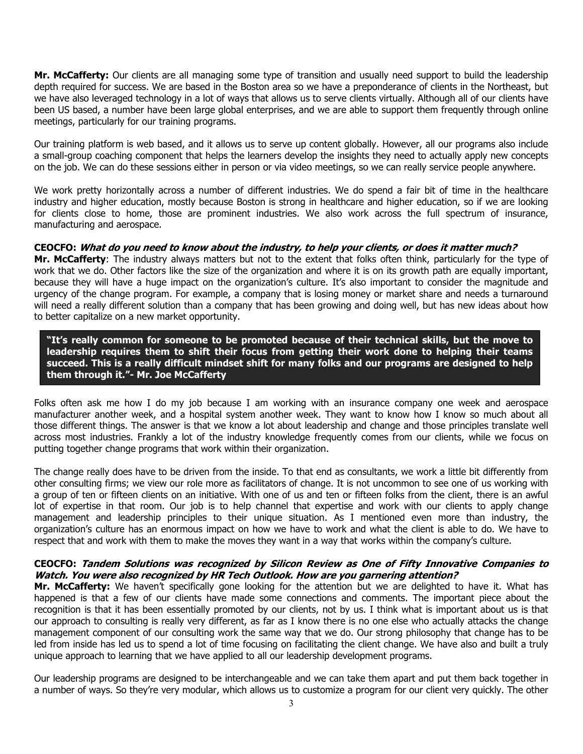**Mr. McCafferty:** Our clients are all managing some type of transition and usually need support to build the leadership depth required for success. We are based in the Boston area so we have a preponderance of clients in the Northeast, but we have also leveraged technology in a lot of ways that allows us to serve clients virtually. Although all of our clients have been US based, a number have been large global enterprises, and we are able to support them frequently through online meetings, particularly for our training programs.

Our training platform is web based, and it allows us to serve up content globally. However, all our programs also include a small-group coaching component that helps the learners develop the insights they need to actually apply new concepts on the job. We can do these sessions either in person or via video meetings, so we can really service people anywhere.

We work pretty horizontally across a number of different industries. We do spend a fair bit of time in the healthcare industry and higher education, mostly because Boston is strong in healthcare and higher education, so if we are looking for clients close to home, those are prominent industries. We also work across the full spectrum of insurance, manufacturing and aerospace.

## **CEOCFO: What do you need to know about the industry, to help your clients, or does it matter much?**

**Mr. McCafferty**: The industry always matters but not to the extent that folks often think, particularly for the type of work that we do. Other factors like the size of the organization and where it is on its growth path are equally important, because they will have a huge impact on the organization's culture. It's also important to consider the magnitude and urgency of the change program. For example, a company that is losing money or market share and needs a turnaround will need a really different solution than a company that has been growing and doing well, but has new ideas about how to better capitalize on a new market opportunity.

**"It's really common for someone to be promoted because of their technical skills, but the move to leadership requires them to shift their focus from getting their work done to helping their teams succeed. This is a really difficult mindset shift for many folks and our programs are designed to help them through it."- Mr. Joe McCafferty**

Folks often ask me how I do my job because I am working with an insurance company one week and aerospace manufacturer another week, and a hospital system another week. They want to know how I know so much about all those different things. The answer is that we know a lot about leadership and change and those principles translate well across most industries. Frankly a lot of the industry knowledge frequently comes from our clients, while we focus on putting together change programs that work within their organization.

The change really does have to be driven from the inside. To that end as consultants, we work a little bit differently from other consulting firms; we view our role more as facilitators of change. It is not uncommon to see one of us working with a group of ten or fifteen clients on an initiative. With one of us and ten or fifteen folks from the client, there is an awful lot of expertise in that room. Our job is to help channel that expertise and work with our clients to apply change management and leadership principles to their unique situation. As I mentioned even more than industry, the organization's culture has an enormous impact on how we have to work and what the client is able to do. We have to respect that and work with them to make the moves they want in a way that works within the company's culture.

## **CEOCFO: Tandem Solutions was recognized by Silicon Review as One of Fifty Innovative Companies to Watch. You were also recognized by HR Tech Outlook. How are you garnering attention?**

**Mr. McCafferty:** We haven't specifically gone looking for the attention but we are delighted to have it. What has happened is that a few of our clients have made some connections and comments. The important piece about the recognition is that it has been essentially promoted by our clients, not by us. I think what is important about us is that our approach to consulting is really very different, as far as I know there is no one else who actually attacks the change management component of our consulting work the same way that we do. Our strong philosophy that change has to be led from inside has led us to spend a lot of time focusing on facilitating the client change. We have also and built a truly unique approach to learning that we have applied to all our leadership development programs.

Our leadership programs are designed to be interchangeable and we can take them apart and put them back together in a number of ways. So they're very modular, which allows us to customize a program for our client very quickly. The other